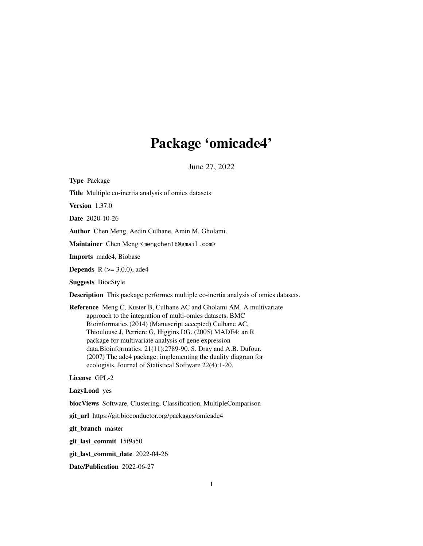## Package 'omicade4'

June 27, 2022

<span id="page-0-0"></span>Type Package Title Multiple co-inertia analysis of omics datasets Version 1.37.0 Date 2020-10-26 Author Chen Meng, Aedin Culhane, Amin M. Gholami. Maintainer Chen Meng <mengchen18@gmail.com> Imports made4, Biobase **Depends** R  $(>= 3.0.0)$ , ade4 Suggests BiocStyle Description This package performes multiple co-inertia analysis of omics datasets. Reference Meng C, Kuster B, Culhane AC and Gholami AM. A multivariate approach to the integration of multi-omics datasets. BMC Bioinformatics (2014) (Manuscript accepted) Culhane AC, Thioulouse J, Perriere G, Higgins DG. (2005) MADE4: an R package for multivariate analysis of gene expression data.Bioinformatics. 21(11):2789-90. S. Dray and A.B. Dufour. (2007) The ade4 package: implementing the duality diagram for ecologists. Journal of Statistical Software 22(4):1-20. License GPL-2 LazyLoad yes biocViews Software, Clustering, Classification, MultipleComparison git\_url https://git.bioconductor.org/packages/omicade4 git\_branch master git\_last\_commit 15f9a50 git\_last\_commit\_date 2022-04-26 Date/Publication 2022-06-27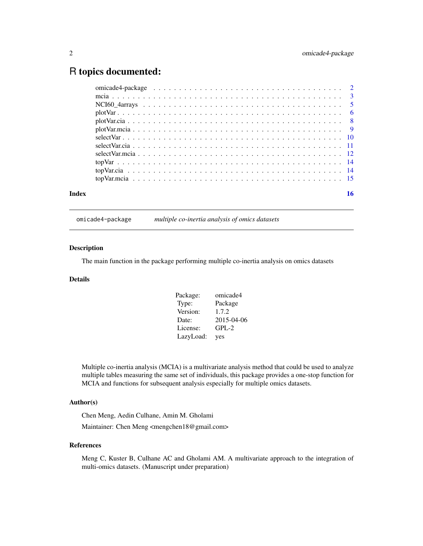### <span id="page-1-0"></span>R topics documented:

| Index | 16 |
|-------|----|

omicade4-package *multiple co-inertia analysis of omics datasets*

#### Description

The main function in the package performing multiple co-inertia analysis on omics datasets

#### Details

| Package:  | omicade4   |
|-----------|------------|
| Type:     | Package    |
| Version:  | 1.7.2      |
| Date:     | 2015-04-06 |
| License:  | $GPL-2$    |
| LazyLoad: | yes        |

Multiple co-inertia analysis (MCIA) is a multivariate analysis method that could be used to analyze multiple tables measuring the same set of individuals, this package provides a one-stop function for MCIA and functions for subsequent analysis especially for multiple omics datasets.

#### Author(s)

Chen Meng, Aedin Culhane, Amin M. Gholami Maintainer: Chen Meng <mengchen18@gmail.com>

#### References

Meng C, Kuster B, Culhane AC and Gholami AM. A multivariate approach to the integration of multi-omics datasets. (Manuscript under preparation)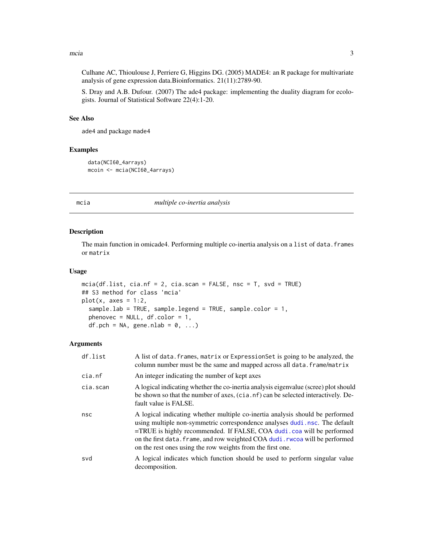#### <span id="page-2-0"></span> $mca$  3

Culhane AC, Thioulouse J, Perriere G, Higgins DG. (2005) MADE4: an R package for multivariate analysis of gene expression data.Bioinformatics. 21(11):2789-90.

S. Dray and A.B. Dufour. (2007) The ade4 package: implementing the duality diagram for ecologists. Journal of Statistical Software 22(4):1-20.

#### See Also

ade4 and package made4

#### Examples

```
data(NCI60_4arrays)
mcoin <- mcia(NCI60_4arrays)
```
#### <span id="page-2-1"></span>mcia *multiple co-inertia analysis*

#### Description

The main function in omicade4. Performing multiple co-inertia analysis on a list of data.frames or matrix

#### Usage

```
mcia(df.list, cia.nf = 2, cia.scan = FALSE, nsc = T, svd = TRUE)
## S3 method for class 'mcia'
plot(x, axes = 1:2,sample.lab = TRUE, sample.legend = TRUE, sample.color = 1,
 phenovec = NULL, df.color = 1,
  df.pch = NA, gene.nlab = 0, ...)
```
#### Arguments

| df.list  | A list of data. frames, matrix or Expression Set is going to be analyzed, the<br>column number must be the same and mapped across all data. frame/matrix                                                                                                                                                                                                                           |
|----------|------------------------------------------------------------------------------------------------------------------------------------------------------------------------------------------------------------------------------------------------------------------------------------------------------------------------------------------------------------------------------------|
| cia.nf   | An integer indicating the number of kept axes                                                                                                                                                                                                                                                                                                                                      |
| cia.scan | A logical indicating whether the co-inertia analysis eigenvalue (scree) plot should<br>be shown so that the number of axes, (cia.nf) can be selected interactively. De-<br>fault value is FALSE.                                                                                                                                                                                   |
| nsc      | A logical indicating whether multiple co-inertia analysis should be performed<br>using multiple non-symmetric correspondence analyses dudi nsc. The default<br>=TRUE is highly recommended. If FALSE, COA dudi.coa will be performed<br>on the first data. frame, and row weighted COA dudi. rwcoa will be performed<br>on the rest ones using the row weights from the first one. |
| svd      | A logical indicates which function should be used to perform singular value<br>decomposition.                                                                                                                                                                                                                                                                                      |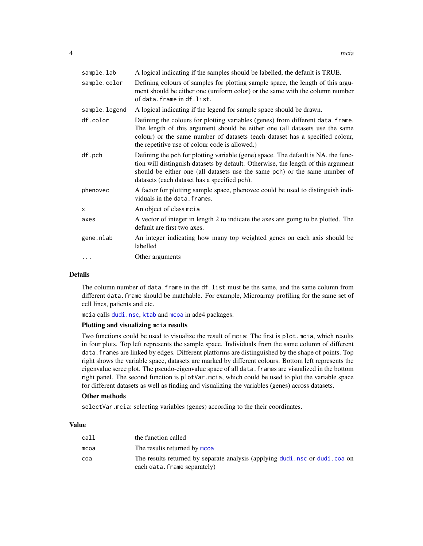<span id="page-3-0"></span>

| sample.lab    | A logical indicating if the samples should be labelled, the default is TRUE.                                                                                                                                                                                                                         |
|---------------|------------------------------------------------------------------------------------------------------------------------------------------------------------------------------------------------------------------------------------------------------------------------------------------------------|
| sample.color  | Defining colours of samples for plotting sample space, the length of this argu-<br>ment should be either one (uniform color) or the same with the column number<br>of data. frame in df.list.                                                                                                        |
| sample.legend | A logical indicating if the legend for sample space should be drawn.                                                                                                                                                                                                                                 |
| df.color      | Defining the colours for plotting variables (genes) from different data. frame.<br>The length of this argument should be either one (all datasets use the same<br>colour) or the same number of datasets (each dataset has a specified colour,<br>the repetitive use of colour code is allowed.)     |
| df.pch        | Defining the pch for plotting variable (gene) space. The default is NA, the func-<br>tion will distinguish datasets by default. Otherwise, the length of this argument<br>should be either one (all datasets use the same pch) or the same number of<br>datasets (each dataset has a specified pch). |
| phenovec      | A factor for plotting sample space, phenovec could be used to distinguish indi-<br>viduals in the data. frames.                                                                                                                                                                                      |
| X             | An object of class moia                                                                                                                                                                                                                                                                              |
| axes          | A vector of integer in length 2 to indicate the axes are going to be plotted. The<br>default are first two axes.                                                                                                                                                                                     |
| gene.nlab     | An integer indicating how many top weighted genes on each axis should be<br>labelled                                                                                                                                                                                                                 |
|               | Other arguments                                                                                                                                                                                                                                                                                      |

#### Details

The column number of data. frame in the df. list must be the same, and the same column from different data.frame should be matchable. For example, Microarray profiling for the same set of cell lines, patients and etc.

mcia calls [dudi.nsc](#page-0-0), [ktab](#page-0-0) and [mcoa](#page-0-0) in ade4 packages.

#### Plotting and visualizing mcia results

Two functions could be used to visualize the result of mcia: The first is plot.mcia, which results in four plots. Top left represents the sample space. Individuals from the same column of different data. frames are linked by edges. Different platforms are distinguished by the shape of points. Top right shows the variable space, datasets are marked by different colours. Bottom left represents the eigenvalue scree plot. The pseudo-eigenvalue space of all data.frames are visualized in the bottom right panel. The second function is plotVar.mcia, which could be used to plot the variable space for different datasets as well as finding and visualizing the variables (genes) across datasets.

#### Other methods

selectVar.mcia: selecting variables (genes) according to the their coordinates.

#### Value

| call | the function called                                                                                         |
|------|-------------------------------------------------------------------------------------------------------------|
| mcoa | The results returned by mcoa                                                                                |
| coa  | The results returned by separate analysis (applying dudi nsc or dudi coa on<br>each data. frame separately) |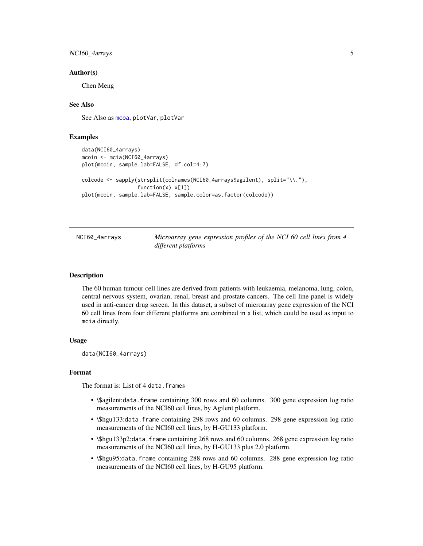#### <span id="page-4-0"></span>NCI60\_4arrays 5

#### Author(s)

Chen Meng

#### See Also

See Also as [mcoa](#page-0-0), plotVar, plotVar

#### Examples

```
data(NCI60_4arrays)
mcoin <- mcia(NCI60_4arrays)
plot(mcoin, sample.lab=FALSE, df.col=4:7)
colcode <- sapply(strsplit(colnames(NCI60_4arrays$agilent), split="\\."),
                  function(x) x[1])
plot(mcoin, sample.lab=FALSE, sample.color=as.factor(colcode))
```

| NCI60_4arrays | Microarray gene expression profiles of the NCI 60 cell lines from 4 |  |  |  |  |
|---------------|---------------------------------------------------------------------|--|--|--|--|
|               | different platforms                                                 |  |  |  |  |

#### Description

The 60 human tumour cell lines are derived from patients with leukaemia, melanoma, lung, colon, central nervous system, ovarian, renal, breast and prostate cancers. The cell line panel is widely used in anti-cancer drug screen. In this dataset, a subset of microarray gene expression of the NCI 60 cell lines from four different platforms are combined in a list, which could be used as input to mcia directly.

#### Usage

data(NCI60\_4arrays)

#### Format

The format is: List of 4 data.frames

- \\$agilent:data.frame containing 300 rows and 60 columns. 300 gene expression log ratio measurements of the NCI60 cell lines, by Agilent platform.
- \\$hgu133:data.frame containing 298 rows and 60 columns. 298 gene expression log ratio measurements of the NCI60 cell lines, by H-GU133 platform.
- \\$hgu133p2:data.frame containing 268 rows and 60 columns. 268 gene expression log ratio measurements of the NCI60 cell lines, by H-GU133 plus 2.0 platform.
- \\$hgu95:data.frame containing 288 rows and 60 columns. 288 gene expression log ratio measurements of the NCI60 cell lines, by H-GU95 platform.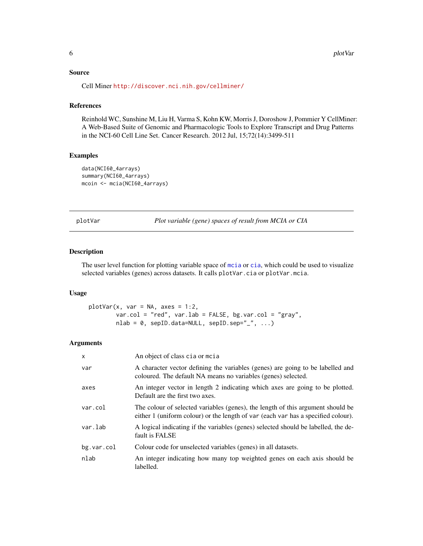#### <span id="page-5-0"></span>Source

Cell Miner <http://discover.nci.nih.gov/cellminer/>

#### References

Reinhold WC, Sunshine M, Liu H, Varma S, Kohn KW, Morris J, Doroshow J, Pommier Y CellMiner: A Web-Based Suite of Genomic and Pharmacologic Tools to Explore Transcript and Drug Patterns in the NCI-60 Cell Line Set. Cancer Research. 2012 Jul, 15;72(14):3499-511

#### Examples

```
data(NCI60_4arrays)
summary(NCI60_4arrays)
mcoin <- mcia(NCI60_4arrays)
```
<span id="page-5-1"></span>plotVar *Plot variable (gene) spaces of result from MCIA or CIA*

#### Description

The user level function for plotting variable space of [mcia](#page-2-1) or [cia](#page-0-0), which could be used to visualize selected variables (genes) across datasets. It calls plotVar.cia or plotVar.mcia.

#### Usage

```
plotVar(x, var = NA, axes = 1:2,var.col = "red", var.lab = FALSE, bg.var.col = "gray",
        nlab = 0, sepID.data=NULL, sepID.sep="_", ...)
```
#### Arguments

| $\mathsf{x}$ | An object of class cia or mcia                                                                                                                                       |
|--------------|----------------------------------------------------------------------------------------------------------------------------------------------------------------------|
| var          | A character vector defining the variables (genes) are going to be labelled and<br>coloured. The default NA means no variables (genes) selected.                      |
| axes         | An integer vector in length 2 indicating which axes are going to be plotted.<br>Default are the first two axes.                                                      |
| var.col      | The colour of selected variables (genes), the length of this argument should be<br>either 1 (uniform colour) or the length of var (each var has a specified colour). |
| var.lab      | A logical indicating if the variables (genes) selected should be labelled, the de-<br>fault is FALSE                                                                 |
| bg.var.col   | Colour code for unselected variables (genes) in all datasets.                                                                                                        |
| nlab         | An integer indicating how many top weighted genes on each axis should be<br>labelled.                                                                                |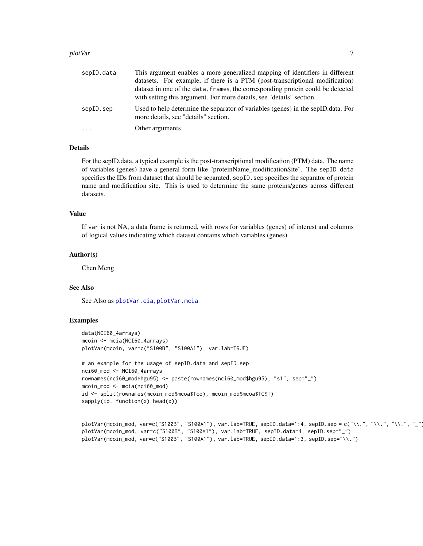#### <span id="page-6-0"></span>plotVar 7

| sepID.data | This argument enables a more generalized mapping of identifiers in different                                             |
|------------|--------------------------------------------------------------------------------------------------------------------------|
|            | datasets. For example, if there is a PTM (post-transcriptional modification)                                             |
|            | dataset in one of the data. frames, the corresponding protein could be detected                                          |
|            | with setting this argument. For more details, see "details" section.                                                     |
| sepID.sep  | Used to help determine the separator of variables (genes) in the sepID data. For<br>more details, see "details" section. |
| $\cdot$    | Other arguments                                                                                                          |

#### Details

For the sepID.data, a typical example is the post-transcriptional modification (PTM) data. The name of variables (genes) have a general form like "proteinName\_modificationSite". The sepID.data specifies the IDs from dataset that should be separated, sepID. sep specifies the separator of protein name and modification site. This is used to determine the same proteins/genes across different datasets.

#### Value

If var is not NA, a data frame is returned, with rows for variables (genes) of interest and columns of logical values indicating which dataset contains which variables (genes).

#### Author(s)

Chen Meng

#### See Also

See Also as [plotVar.cia](#page-7-1), [plotVar.mcia](#page-8-1)

#### Examples

```
data(NCI60_4arrays)
mcoin <- mcia(NCI60_4arrays)
plotVar(mcoin, var=c("S100B", "S100A1"), var.lab=TRUE)
# an example for the usage of sepID.data and sepID.sep
nci60_mod <- NCI60_4arrays
rownames(nci60_mod$hgu95) <- paste(rownames(nci60_mod$hgu95), "s1", sep="_")
mcoin_mod <- mcia(nci60_mod)
id <- split(rownames(mcoin_mod$mcoa$Tco), mcoin_mod$mcoa$TC$T)
sapply(id, function(x) head(x))
```

```
plotVar(mcoin_mod, var=c("S100B", "S100A1"), var.lab=TRUE, sepID.data=1:4, sepID.sep = c("\\.", "\\.", "\\.", "_"))
plotVar(mcoin_mod, var=c("S100B", "S100A1"), var.lab=TRUE, sepID.data=4, sepID.sep="_")
plotVar(mcoin_mod, var=c("S100B", "S100A1"), var.lab=TRUE, sepID.data=1:3, sepID.sep="\\.")
```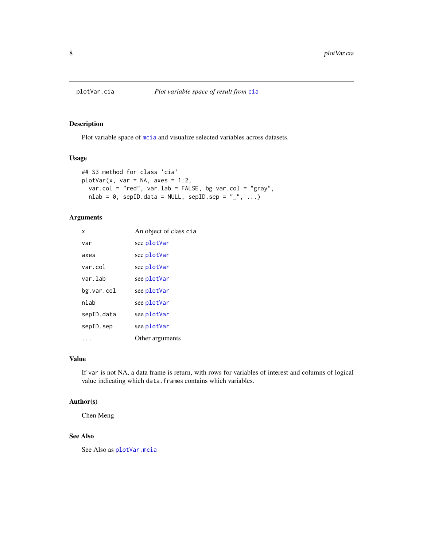<span id="page-7-1"></span><span id="page-7-0"></span>

#### Description

Plot variable space of [mcia](#page-2-1) and visualize selected variables across datasets.

#### Usage

```
## S3 method for class 'cia'
plotVar(x, var = NA, axes = 1:2,var.col = "red", var.lab = FALSE, bg.var.col = "gray",
 nlab = 0, sepID.data = NULL, sepID.sep = "_", ...)
```
#### Arguments

| x          | An object of class cia |
|------------|------------------------|
| var        | see plotVar            |
| axes       | see plotVar            |
| var.col    | see plotVar            |
| var.lab    | see plotVar            |
| bg.var.col | see plotVar            |
| nlab       | see plotVar            |
| sepID.data | see plotVar            |
| sepID.sep  | see plotVar            |
|            | Other arguments        |

#### Value

If var is not NA, a data frame is return, with rows for variables of interest and columns of logical value indicating which data.frames contains which variables.

#### Author(s)

Chen Meng

#### See Also

See Also as [plotVar.mcia](#page-8-1)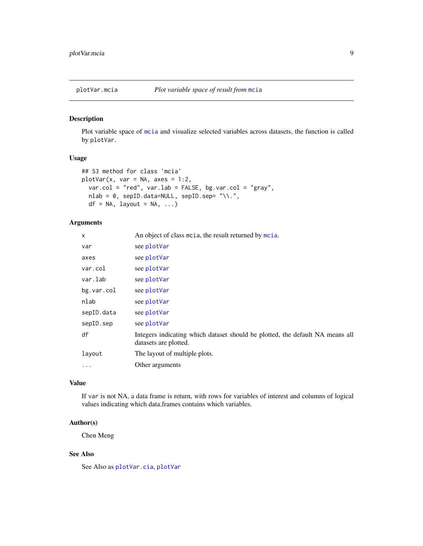<span id="page-8-1"></span><span id="page-8-0"></span>

#### Description

Plot variable space of [mcia](#page-2-1) and visualize selected variables across datasets, the function is called by plotVar.

#### Usage

```
## S3 method for class 'mcia'
plotVar(x, var = NA, axes = 1:2,var.col = "red", var.lab = FALSE, bg.var.col = "gray",
 nlab = 0, sepID.data=NULL, sepID.sep= "\\.",
 df = NA, layout = NA, ...)
```
#### Arguments

| $\times$   | An object of class motia, the result returned by motia.                                                |
|------------|--------------------------------------------------------------------------------------------------------|
| var        | see plotVar                                                                                            |
| axes       | see plotVar                                                                                            |
| var.col    | see plotVar                                                                                            |
| var.lab    | see plotVar                                                                                            |
| bg.var.col | see plotVar                                                                                            |
| nlab       | see plotVar                                                                                            |
| sepID.data | see plotVar                                                                                            |
| sepID.sep  | see plotVar                                                                                            |
| df         | Integers indicating which dataset should be plotted, the default NA means all<br>datasets are plotted. |
| layout     | The layout of multiple plots.                                                                          |
| $\cdots$   | Other arguments                                                                                        |

#### Value

If var is not NA, a data frame is return, with rows for variables of interest and columns of logical values indicating which data.frames contains which variables.

#### Author(s)

Chen Meng

#### See Also

See Also as [plotVar.cia](#page-7-1), [plotVar](#page-5-1)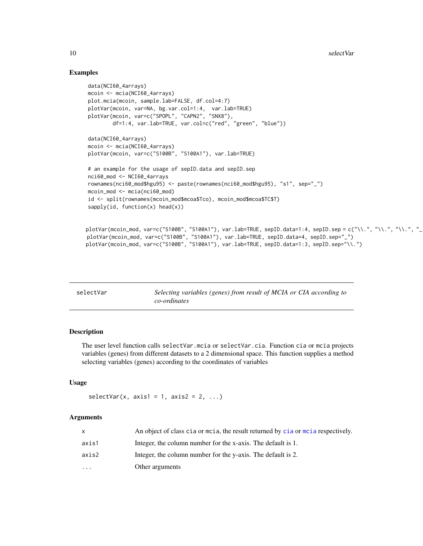#### Examples

```
data(NCI60_4arrays)
mcoin <- mcia(NCI60_4arrays)
plot.mcia(mcoin, sample.lab=FALSE, df.col=4:7)
plotVar(mcoin, var=NA, bg.var.col=1:4, var.lab=TRUE)
plotVar(mcoin, var=c("SPOPL", "CAPN2", "SNX8"),
        df=1:4, var.lab=TRUE, var.col=c("red", "green", "blue"))
data(NCI60_4arrays)
mcoin <- mcia(NCI60_4arrays)
plotVar(mcoin, var=c("S100B", "S100A1"), var.lab=TRUE)
# an example for the usage of sepID.data and sepID.sep
nci60_mod <- NCI60_4arrays
rownames(nci60_mod$hgu95) <- paste(rownames(nci60_mod$hgu95), "s1", sep="_")
mcoin_mod <- mcia(nci60_mod)
id <- split(rownames(mcoin_mod$mcoa$Tco), mcoin_mod$mcoa$TC$T)
sapply(id, function(x) head(x))plotVar(mcoin_mod, var=c("S100B", "S100A1"), var.lab=TRUE, sepID.data=1:4, sepID.sep = c("\\.", "\\.", "\\.", "_
plotVar(mcoin_mod, var=c("S100B", "S100A1"), var.lab=TRUE, sepID.data=4, sepID.sep="_")
plotVar(mcoin_mod, var=c("S100B", "S100A1"), var.lab=TRUE, sepID.data=1:3, sepID.sep="\\.")
```
<span id="page-9-1"></span>

| selectVar | Selecting variables (genes) from result of MCIA or CIA according to |
|-----------|---------------------------------------------------------------------|
|           | co-ordinates                                                        |

#### Description

The user level function calls selectVar.mcia or selectVar.cia. Function cia or mcia projects variables (genes) from different datasets to a 2 dimensional space. This function supplies a method selecting variables (genes) according to the coordinates of variables

#### Usage

```
selectVar(x, axis1 = 1, axis2 = 2, ...)
```
#### Arguments

|           | An object of class cia or motia, the result returned by cia or motia respectively. |
|-----------|------------------------------------------------------------------------------------|
| axis1     | Integer, the column number for the x-axis. The default is 1.                       |
| axis2     | Integer, the column number for the y-axis. The default is 2.                       |
| $\ddotsc$ | Other arguments                                                                    |
|           |                                                                                    |

<span id="page-9-0"></span>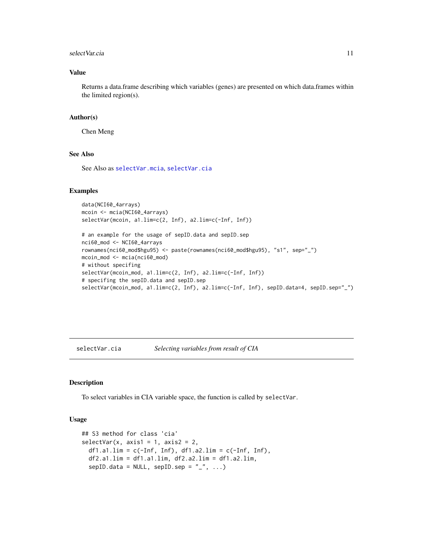#### <span id="page-10-0"></span>select Var.cia and 11

#### Value

Returns a data.frame describing which variables (genes) are presented on which data.frames within the limited region(s).

#### Author(s)

Chen Meng

#### See Also

See Also as [selectVar.mcia](#page-11-1), [selectVar.cia](#page-10-1)

#### Examples

```
data(NCI60_4arrays)
mcoin <- mcia(NCI60_4arrays)
selectVar(mcoin, a1.lim=c(2, Inf), a2.lim=c(-Inf, Inf))
```

```
# an example for the usage of sepID.data and sepID.sep
nci60_mod <- NCI60_4arrays
rownames(nci60_mod$hgu95) <- paste(rownames(nci60_mod$hgu95), "s1", sep="_")
mcoin_mod <- mcia(nci60_mod)
# without specifing
selectVar(mcoin_mod, a1.lim=c(2, Inf), a2.lim=c(-Inf, Inf))
# specifing the sepID.data and sepID.sep
selectVar(mcoin_mod, a1.lim=c(2, Inf), a2.lim=c(-Inf, Inf), sepID.data=4, sepID.sep="_")
```
<span id="page-10-1"></span>selectVar.cia *Selecting variables from result of CIA*

#### Description

To select variables in CIA variable space, the function is called by selectVar.

#### Usage

```
## S3 method for class 'cia'
selectVar(x, axis1 = 1, axis2 = 2,
 df1.a1.lim = c(-Inf, Inf), df1.a2.lim = c(-Inf, Inf),df2.a1.lim = df1.a1.lim, df2.a2.lim = df1.a2.lim,sepID.data = NULL, sepID.sep = "__", ...)
```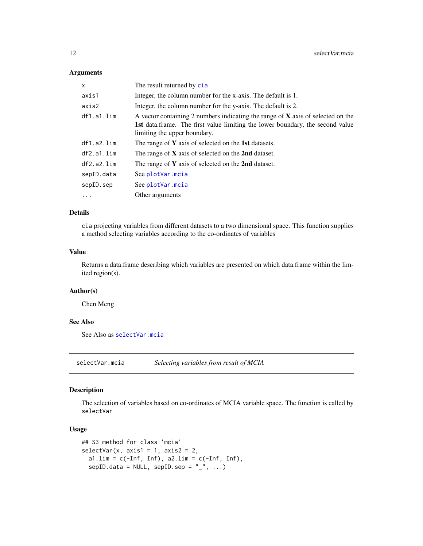#### Arguments

| x          | The result returned by cia                                                                                                                                                                         |  |
|------------|----------------------------------------------------------------------------------------------------------------------------------------------------------------------------------------------------|--|
| axis1      | Integer, the column number for the x-axis. The default is 1.                                                                                                                                       |  |
| axis2      | Integer, the column number for the y-axis. The default is 2.                                                                                                                                       |  |
| df1.a1.lim | A vector containing 2 numbers indicating the range of $X$ axis of selected on the<br>1st data.frame. The first value limiting the lower boundary, the second value<br>limiting the upper boundary. |  |
| df1.a2.lim | The range of $Y$ axis of selected on the 1st datasets.                                                                                                                                             |  |
| df2.a1.lim | The range of $X$ axis of selected on the 2nd dataset.                                                                                                                                              |  |
| df2.a2.lim | The range of $Y$ axis of selected on the 2nd dataset.                                                                                                                                              |  |
| sepID.data | See plotVar.mcia                                                                                                                                                                                   |  |
| sepID.sep  | See plotVar.mcia                                                                                                                                                                                   |  |
| $\cdots$   | Other arguments                                                                                                                                                                                    |  |

#### Details

cia projecting variables from different datasets to a two dimensional space. This function supplies a method selecting variables according to the co-ordinates of variables

#### Value

Returns a data.frame describing which variables are presented on which data.frame within the limited region(s).

#### Author(s)

Chen Meng

#### See Also

See Also as [selectVar.mcia](#page-11-1)

<span id="page-11-1"></span>selectVar.mcia *Selecting variables from result of MCIA*

#### Description

The selection of variables based on co-ordinates of MCIA variable space. The function is called by selectVar

#### Usage

```
## S3 method for class 'mcia'
selectVar(x, axis1 = 1, axis2 = 2,a1.lim = c(-Inf, Inf), a2.lim = c(-Inf, Inf),
  sepID.data = NULL, sepID.sep = "__", ...)
```
<span id="page-11-0"></span>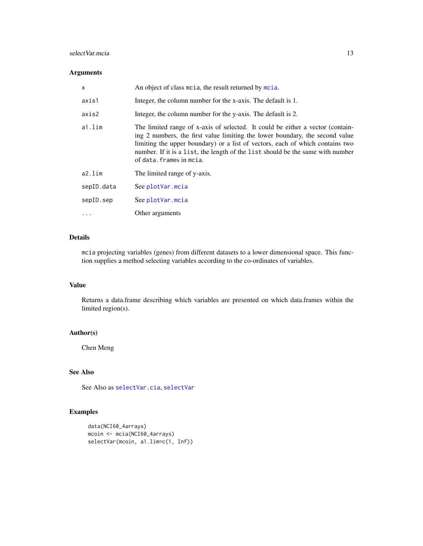#### <span id="page-12-0"></span>selectVar.mcia 13

#### Arguments

| x          | An object of class motia, the result returned by motia.                                                                                                                                                                                                                                                                                                       |
|------------|---------------------------------------------------------------------------------------------------------------------------------------------------------------------------------------------------------------------------------------------------------------------------------------------------------------------------------------------------------------|
| axis1      | Integer, the column number for the x-axis. The default is 1.                                                                                                                                                                                                                                                                                                  |
| axis2      | Integer, the column number for the y-axis. The default is 2.                                                                                                                                                                                                                                                                                                  |
| a1.lim     | The limited range of x-axis of selected. It could be either a vector (contain-<br>ing 2 numbers, the first value limiting the lower boundary, the second value<br>limiting the upper boundary) or a list of vectors, each of which contains two<br>number. If it is a list, the length of the list should be the same with number<br>of data. frames in mcia. |
| a2.lim     | The limited range of y-axis.                                                                                                                                                                                                                                                                                                                                  |
| sepID.data | See plotVar.mcia                                                                                                                                                                                                                                                                                                                                              |
| sepID.sep  | See plotVar.mcia                                                                                                                                                                                                                                                                                                                                              |
| $\cdots$   | Other arguments                                                                                                                                                                                                                                                                                                                                               |

#### Details

mcia projecting variables (genes) from different datasets to a lower dimensional space. This function supplies a method selecting variables according to the co-ordinates of variables.

#### Value

Returns a data.frame describing which variables are presented on which data.frames within the limited region(s).

#### Author(s)

Chen Meng

#### See Also

See Also as [selectVar.cia](#page-10-1), [selectVar](#page-9-1)

#### Examples

```
data(NCI60_4arrays)
mcoin <- mcia(NCI60_4arrays)
selectVar(mcoin, a1.lim=c(1, Inf))
```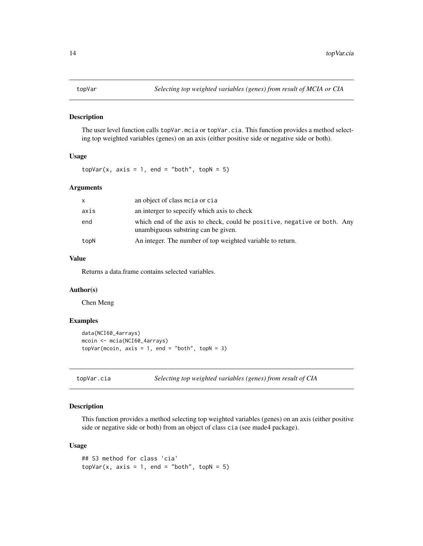<span id="page-13-0"></span>

#### Description

The user level function calls topVar.mcia or topVar.cia. This function provides a method selecting top weighted variables (genes) on an axis (either positive side or negative side or both).

#### Usage

 $topVar(x, axis = 1, end = "both", topN = 5)$ 

#### Arguments

| X    | an object of class motion or cia                                                                                |
|------|-----------------------------------------------------------------------------------------------------------------|
| axis | an interger to sepecify which axis to check                                                                     |
| end  | which end of the axis to check, could be positive, negative or both. Any<br>unambiguous substring can be given. |
| topN | An integer. The number of top weighted variable to return.                                                      |

#### Value

Returns a data.frame contains selected variables.

#### Author(s)

Chen Meng

#### Examples

```
data(NCI60_4arrays)
mcoin <- mcia(NCI60_4arrays)
topVar(mcoin, axis = 1, end = "both", topN = 3)
```
topVar.cia *Selecting top weighted variables (genes) from result of CIA*

#### Description

This function provides a method selecting top weighted variables (genes) on an axis (either positive side or negative side or both) from an object of class cia (see made4 package).

#### Usage

```
## S3 method for class 'cia'
topVar(x, axis = 1, end = "both", topN = 5)
```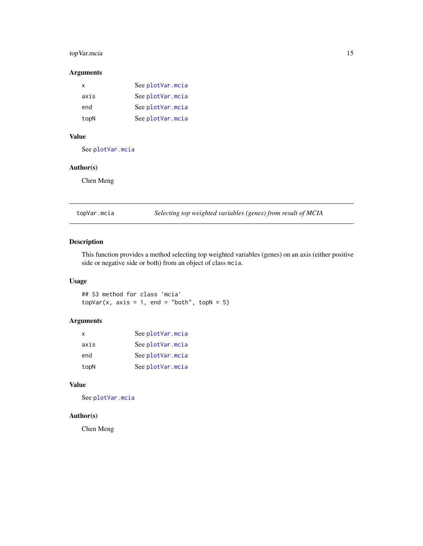#### <span id="page-14-0"></span>topVar.mcia 15

#### Arguments

| x    | See plotVar.mcia |
|------|------------------|
| axis | See plotVar.mcia |
| end  | See plotVar.mcia |
| topN | See plotVar.mcia |

#### Value

See [plotVar.mcia](#page-8-1)

#### Author(s)

Chen Meng

topVar.mcia *Selecting top weighted variables (genes) from result of MCIA*

#### Description

This function provides a method selecting top weighted variables (genes) on an axis (either positive side or negative side or both) from an object of class mcia.

#### Usage

## S3 method for class 'mcia'  $topVar(x, axis = 1, end = "both", topN = 5)$ 

#### Arguments

| x    | See plotVar.mcia |
|------|------------------|
| axis | See plotVar.mcia |
| end  | See plotVar.mcia |
| topN | See plotVar.mcia |

#### Value

See [plotVar.mcia](#page-8-1)

#### Author(s)

Chen Meng